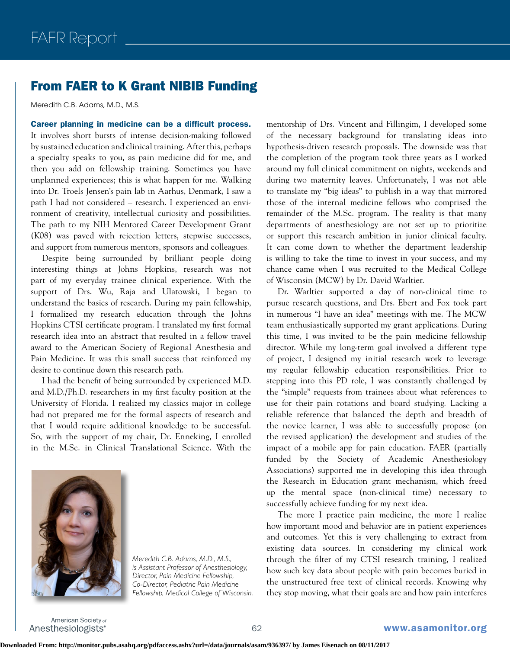## From FAER to K Grant NIBIB Funding

Meredith C.B. Adams, M.D., M.S.

Career planning in medicine can be a difficult process. It involves short bursts of intense decision-making followed by sustained education and clinical training. After this, perhaps a specialty speaks to you, as pain medicine did for me, and then you add on fellowship training. Sometimes you have unplanned experiences; this is what happen for me. Walking into Dr. Troels Jensen's pain lab in Aarhus, Denmark, I saw a path I had not considered – research. I experienced an environment of creativity, intellectual curiosity and possibilities. The path to my NIH Mentored Career Development Grant (K08) was paved with rejection letters, stepwise successes, and support from numerous mentors, sponsors and colleagues.

Despite being surrounded by brilliant people doing interesting things at Johns Hopkins, research was not part of my everyday trainee clinical experience. With the support of Drs. Wu, Raja and Ulatowski, I began to understand the basics of research. During my pain fellowship, I formalized my research education through the Johns Hopkins CTSI certificate program. I translated my first formal research idea into an abstract that resulted in a fellow travel award to the American Society of Regional Anesthesia and Pain Medicine. It was this small success that reinforced my desire to continue down this research path.

I had the benefit of being surrounded by experienced M.D. and M.D./Ph.D. researchers in my first faculty position at the University of Florida. I realized my classics major in college had not prepared me for the formal aspects of research and that I would require additional knowledge to be successful. So, with the support of my chair, Dr. Enneking, I enrolled in the M.Sc. in Clinical Translational Science. With the



*Meredith C.B. Adams, M.D., M.S., is Assistant Professor of Anesthesiology, Director, Pain Medicine Fellowship, Co-Director, Pediatric Pain Medicine Fellowship, Medical College of Wisconsin.*

mentorship of Drs. Vincent and Fillingim, I developed some of the necessary background for translating ideas into hypothesis-driven research proposals. The downside was that the completion of the program took three years as I worked around my full clinical commitment on nights, weekends and during two maternity leaves. Unfortunately, I was not able to translate my "big ideas" to publish in a way that mirrored those of the internal medicine fellows who comprised the remainder of the M.Sc. program. The reality is that many departments of anesthesiology are not set up to prioritize or support this research ambition in junior clinical faculty. It can come down to whether the department leadership is willing to take the time to invest in your success, and my chance came when I was recruited to the Medical College of Wisconsin (MCW) by Dr. David Warltier.

Dr. Warltier supported a day of non-clinical time to pursue research questions, and Drs. Ebert and Fox took part in numerous "I have an idea" meetings with me. The MCW team enthusiastically supported my grant applications. During this time, I was invited to be the pain medicine fellowship director. While my long-term goal involved a different type of project, I designed my initial research work to leverage my regular fellowship education responsibilities. Prior to stepping into this PD role, I was constantly challenged by the "simple" requests from trainees about what references to use for their pain rotations and board studying. Lacking a reliable reference that balanced the depth and breadth of the novice learner, I was able to successfully propose (on the revised application) the development and studies of the impact of a mobile app for pain education. FAER (partially funded by the Society of Academic Anesthesiology Associations) supported me in developing this idea through the Research in Education grant mechanism, which freed up the mental space (non-clinical time) necessary to successfully achieve funding for my next idea.

The more I practice pain medicine, the more I realize how important mood and behavior are in patient experiences and outcomes. Yet this is very challenging to extract from existing data sources. In considering my clinical work through the filter of my CTSI research training, I realized how such key data about people with pain becomes buried in the unstructured free text of clinical records. Knowing why they stop moving, what their goals are and how pain interferes

American Society of Anesthesiologists<sup>®</sup>